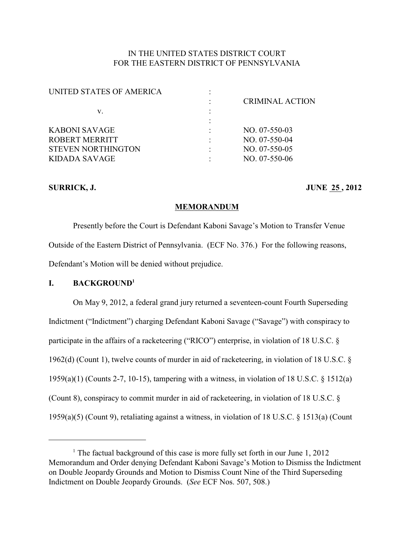# IN THE UNITED STATES DISTRICT COURT FOR THE EASTERN DISTRICT OF PENNSYLVANIA

| UNITED STATES OF AMERICA  |                        |
|---------------------------|------------------------|
|                           | <b>CRIMINAL ACTION</b> |
| v.                        |                        |
|                           |                        |
| KABONI SAVAGE             | $NO. 07-550-03$        |
| ROBERT MERRITT            | NO. 07-550-04          |
| <b>STEVEN NORTHINGTON</b> | $NO. 07-550-05$        |
| KIDADA SAVAGE             | $NO. 07-550-06$        |
|                           |                        |

## **SURRICK, J. JUNE 25, 2012**

## **MEMORANDUM**

Presently before the Court is Defendant Kaboni Savage's Motion to Transfer Venue Outside of the Eastern District of Pennsylvania. (ECF No. 376.) For the following reasons, Defendant's Motion will be denied without prejudice.

## **I. BACKGROUND<sup>1</sup>**

On May 9, 2012, a federal grand jury returned a seventeen-count Fourth Superseding Indictment ("Indictment") charging Defendant Kaboni Savage ("Savage") with conspiracy to participate in the affairs of a racketeering ("RICO") enterprise, in violation of 18 U.S.C. § 1962(d) (Count 1), twelve counts of murder in aid of racketeering, in violation of 18 U.S.C. § 1959(a)(1) (Counts 2-7, 10-15), tampering with a witness, in violation of 18 U.S.C. § 1512(a) (Count 8), conspiracy to commit murder in aid of racketeering, in violation of 18 U.S.C. § 1959(a)(5) (Count 9), retaliating against a witness, in violation of 18 U.S.C. § 1513(a) (Count

<sup>&</sup>lt;sup>1</sup> The factual background of this case is more fully set forth in our June  $1, 2012$ Memorandum and Order denying Defendant Kaboni Savage's Motion to Dismiss the Indictment on Double Jeopardy Grounds and Motion to Dismiss Count Nine of the Third Superseding Indictment on Double Jeopardy Grounds. (*See* ECF Nos. 507, 508.)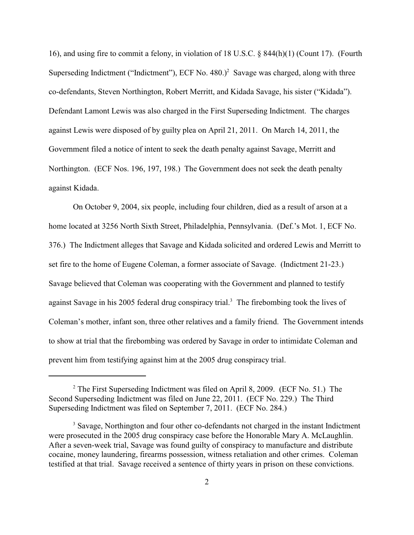16), and using fire to commit a felony, in violation of 18 U.S.C. § 844(h)(1) (Count 17). (Fourth Superseding Indictment ("Indictment"), ECF No.  $480.$ )<sup>2</sup> Savage was charged, along with three co-defendants, Steven Northington, Robert Merritt, and Kidada Savage, his sister ("Kidada"). Defendant Lamont Lewis was also charged in the First Superseding Indictment. The charges against Lewis were disposed of by guilty plea on April 21, 2011. On March 14, 2011, the Government filed a notice of intent to seek the death penalty against Savage, Merritt and Northington. (ECF Nos. 196, 197, 198.) The Government does not seek the death penalty against Kidada.

On October 9, 2004, six people, including four children, died as a result of arson at a home located at 3256 North Sixth Street, Philadelphia, Pennsylvania. (Def.'s Mot. 1, ECF No. 376.) The Indictment alleges that Savage and Kidada solicited and ordered Lewis and Merritt to set fire to the home of Eugene Coleman, a former associate of Savage. (Indictment 21-23.) Savage believed that Coleman was cooperating with the Government and planned to testify against Savage in his 2005 federal drug conspiracy trial.<sup>3</sup> The firebombing took the lives of Coleman's mother, infant son, three other relatives and a family friend. The Government intends to show at trial that the firebombing was ordered by Savage in order to intimidate Coleman and prevent him from testifying against him at the 2005 drug conspiracy trial.

 $2$  The First Superseding Indictment was filed on April 8, 2009. (ECF No. 51.) The Second Superseding Indictment was filed on June 22, 2011. (ECF No. 229.) The Third Superseding Indictment was filed on September 7, 2011. (ECF No. 284.)

<sup>&</sup>lt;sup>3</sup> Savage, Northington and four other co-defendants not charged in the instant Indictment were prosecuted in the 2005 drug conspiracy case before the Honorable Mary A. McLaughlin. After a seven-week trial, Savage was found guilty of conspiracy to manufacture and distribute cocaine, money laundering, firearms possession, witness retaliation and other crimes. Coleman testified at that trial. Savage received a sentence of thirty years in prison on these convictions.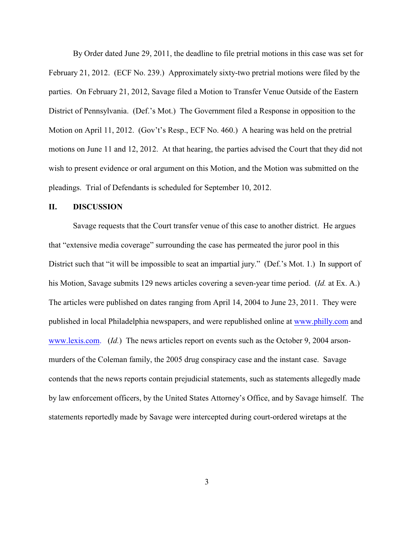By Order dated June 29, 2011, the deadline to file pretrial motions in this case was set for February 21, 2012. (ECF No. 239.) Approximately sixty-two pretrial motions were filed by the parties. On February 21, 2012, Savage filed a Motion to Transfer Venue Outside of the Eastern District of Pennsylvania. (Def.'s Mot.) The Government filed a Response in opposition to the Motion on April 11, 2012. (Gov't's Resp., ECF No. 460.) A hearing was held on the pretrial motions on June 11 and 12, 2012. At that hearing, the parties advised the Court that they did not wish to present evidence or oral argument on this Motion, and the Motion was submitted on the pleadings. Trial of Defendants is scheduled for September 10, 2012.

## **II. DISCUSSION**

Savage requests that the Court transfer venue of this case to another district. He argues that "extensive media coverage" surrounding the case has permeated the juror pool in this District such that "it will be impossible to seat an impartial jury." (Def.'s Mot. 1.) In support of his Motion, Savage submits 129 news articles covering a seven-year time period. (*Id.* at Ex. A.) The articles were published on dates ranging from April 14, 2004 to June 23, 2011. They were published in local Philadelphia newspapers, and were republished online at [www.philly.com](http://www.philly.com) and [www.lexis.com.](http://www.lexis.com.) (*Id.*) The news articles report on events such as the October 9, 2004 arsonmurders of the Coleman family, the 2005 drug conspiracy case and the instant case. Savage contends that the news reports contain prejudicial statements, such as statements allegedly made by law enforcement officers, by the United States Attorney's Office, and by Savage himself. The statements reportedly made by Savage were intercepted during court-ordered wiretaps at the

3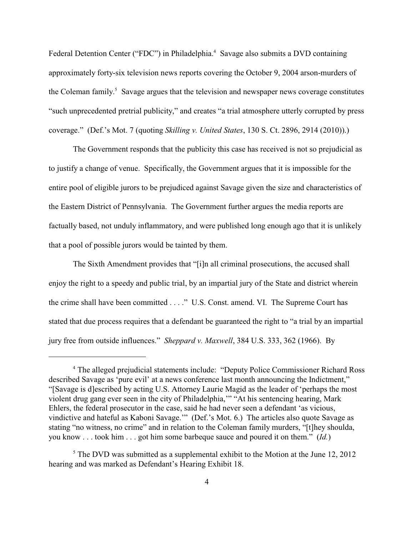Federal Detention Center ("FDC") in Philadelphia.<sup>4</sup> Savage also submits a DVD containing approximately forty-six television news reports covering the October 9, 2004 arson-murders of the Coleman family.<sup>5</sup> Savage argues that the television and newspaper news coverage constitutes "such unprecedented pretrial publicity," and creates "a trial atmosphere utterly corrupted by press coverage." (Def.'s Mot. 7 (quoting *Skilling v. United States*, 130 S. Ct. 2896, 2914 (2010)).)

The Government responds that the publicity this case has received is not so prejudicial as to justify a change of venue. Specifically, the Government argues that it is impossible for the entire pool of eligible jurors to be prejudiced against Savage given the size and characteristics of the Eastern District of Pennsylvania. The Government further argues the media reports are factually based, not unduly inflammatory, and were published long enough ago that it is unlikely that a pool of possible jurors would be tainted by them.

The Sixth Amendment provides that "[i]n all criminal prosecutions, the accused shall enjoy the right to a speedy and public trial, by an impartial jury of the State and district wherein the crime shall have been committed . . . ." U.S. Const. amend. VI. The Supreme Court has stated that due process requires that a defendant be guaranteed the right to "a trial by an impartial jury free from outside influences." *Sheppard v. Maxwell*, 384 U.S. 333, 362 (1966). By

<sup>&</sup>lt;sup>4</sup> The alleged prejudicial statements include: "Deputy Police Commissioner Richard Ross described Savage as 'pure evil' at a news conference last month announcing the Indictment," "[Savage is d]escribed by acting U.S. Attorney Laurie Magid as the leader of 'perhaps the most violent drug gang ever seen in the city of Philadelphia,'" "At his sentencing hearing, Mark Ehlers, the federal prosecutor in the case, said he had never seen a defendant 'as vicious, vindictive and hateful as Kaboni Savage.'" (Def.'s Mot. 6.) The articles also quote Savage as stating "no witness, no crime" and in relation to the Coleman family murders, "[t]hey shoulda, you know . . . took him . . . got him some barbeque sauce and poured it on them." (*Id.*)

 $5$  The DVD was submitted as a supplemental exhibit to the Motion at the June 12, 2012 hearing and was marked as Defendant's Hearing Exhibit 18.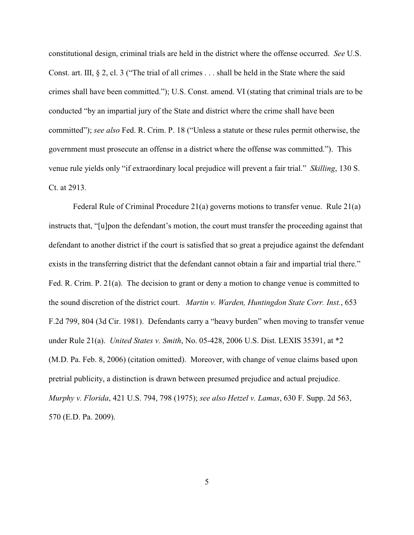constitutional design, criminal trials are held in the district where the offense occurred. *See* U.S. Const. art. III,  $\S 2$ , cl. 3 ("The trial of all crimes ... shall be held in the State where the said crimes shall have been committed."); U.S. Const. amend. VI (stating that criminal trials are to be conducted "by an impartial jury of the State and district where the crime shall have been committed"); *see also* Fed. R. Crim. P. 18 ("Unless a statute or these rules permit otherwise, the government must prosecute an offense in a district where the offense was committed."). This venue rule yields only "if extraordinary local prejudice will prevent a fair trial." *Skilling*, 130 S. Ct. at 2913.

Federal Rule of Criminal Procedure 21(a) governs motions to transfer venue. Rule 21(a) instructs that, "[u]pon the defendant's motion, the court must transfer the proceeding against that defendant to another district if the court is satisfied that so great a prejudice against the defendant exists in the transferring district that the defendant cannot obtain a fair and impartial trial there." Fed. R. Crim. P. 21(a). The decision to grant or deny a motion to change venue is committed to the sound discretion of the district court. *Martin v. Warden, Huntingdon State Corr. Inst.*, 653 F.2d 799, 804 (3d Cir. 1981). Defendants carry a "heavy burden" when moving to transfer venue under Rule 21(a). *United States v. Smith*, No. 05-428, 2006 U.S. Dist. LEXIS 35391, at \*2 (M.D. Pa. Feb. 8, 2006) (citation omitted). Moreover, with change of venue claims based upon pretrial publicity, a distinction is drawn between presumed prejudice and actual prejudice. *Murphy v. Florida*, 421 U.S. 794, 798 (1975); *see also Hetzel v. Lamas*, 630 F. Supp. 2d 563, 570 (E.D. Pa. 2009).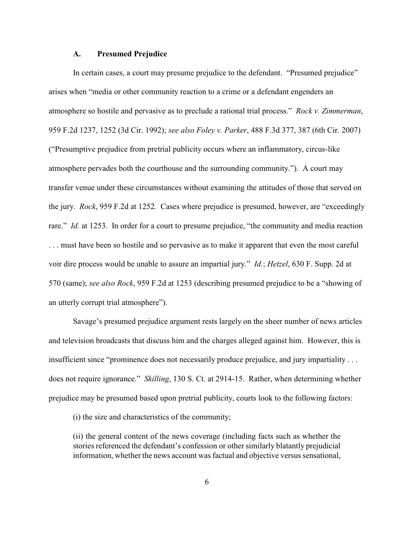#### **A. Presumed Prejudice**

In certain cases, a court may presume prejudice to the defendant. "Presumed prejudice" arises when "media or other community reaction to a crime or a defendant engenders an atmosphere so hostile and pervasive as to preclude a rational trial process." *Rock v. Zimmerman*, 959 F.2d 1237, 1252 (3d Cir. 1992); *see also Foley v. Parker*, 488 F.3d 377, 387 (6th Cir. 2007) ("Presumptive prejudice from pretrial publicity occurs where an inflammatory, circus-like atmosphere pervades both the courthouse and the surrounding community."). A court may transfer venue under these circumstances without examining the attitudes of those that served on the jury. *Rock*, 959 F.2d at 1252*.* Cases where prejudice is presumed, however, are "exceedingly rare." *Id.* at 1253. In order for a court to presume prejudice, "the community and media reaction . . . must have been so hostile and so pervasive as to make it apparent that even the most careful voir dire process would be unable to assure an impartial jury." *Id.*; *Hetzel*, 630 F. Supp. 2d at 570 (same); *see also Rock*, 959 F.2d at 1253 (describing presumed prejudice to be a "showing of an utterly corrupt trial atmosphere").

Savage's presumed prejudice argument rests largely on the sheer number of news articles and television broadcasts that discuss him and the charges alleged against him. However, this is insufficient since "prominence does not necessarily produce prejudice, and jury impartiality . . . does not require ignorance." *Skilling*, 130 S. Ct. at 2914-15. Rather, when determining whether prejudice may be presumed based upon pretrial publicity, courts look to the following factors:

(i) the size and characteristics of the community;

(ii) the general content of the news coverage (including facts such as whether the stories referenced the defendant's confession or other similarly blatantly prejudicial information, whether the news account was factual and objective versus sensational,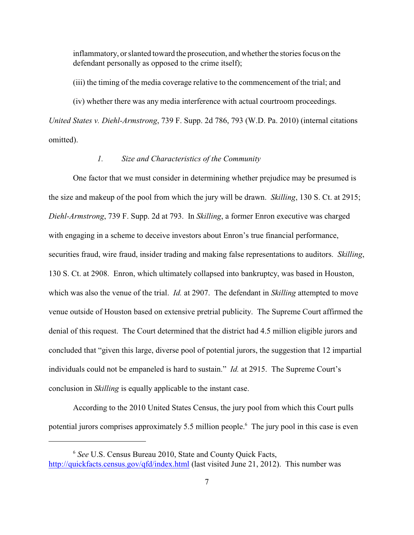inflammatory, or slanted toward the prosecution, and whether the stories focus on the defendant personally as opposed to the crime itself);

(iii) the timing of the media coverage relative to the commencement of the trial; and

(iv) whether there was any media interference with actual courtroom proceedings.

*United States v. Diehl-Armstrong*, 739 F. Supp. 2d 786, 793 (W.D. Pa. 2010) (internal citations omitted).

## *1. Size and Characteristics of the Community*

One factor that we must consider in determining whether prejudice may be presumed is the size and makeup of the pool from which the jury will be drawn. *Skilling*, 130 S. Ct. at 2915; *Diehl-Armstrong*, 739 F. Supp. 2d at 793. In *Skilling*, a former Enron executive was charged with engaging in a scheme to deceive investors about Enron's true financial performance, securities fraud, wire fraud, insider trading and making false representations to auditors. *Skilling*, 130 S. Ct. at 2908. Enron, which ultimately collapsed into bankruptcy, was based in Houston, which was also the venue of the trial. *Id.* at 2907. The defendant in *Skilling* attempted to move venue outside of Houston based on extensive pretrial publicity. The Supreme Court affirmed the denial of this request. The Court determined that the district had 4.5 million eligible jurors and concluded that "given this large, diverse pool of potential jurors, the suggestion that 12 impartial individuals could not be empaneled is hard to sustain." *Id.* at 2915. The Supreme Court's conclusion in *Skilling* is equally applicable to the instant case.

According to the 2010 United States Census, the jury pool from which this Court pulls potential jurors comprises approximately 5.5 million people.<sup>6</sup> The jury pool in this case is even

*See* U.S. Census Bureau 2010, State and County Quick Facts, <sup>6</sup> <http://quickfacts.census.gov/qfd/index.html> (last visited June 21, 2012). This number was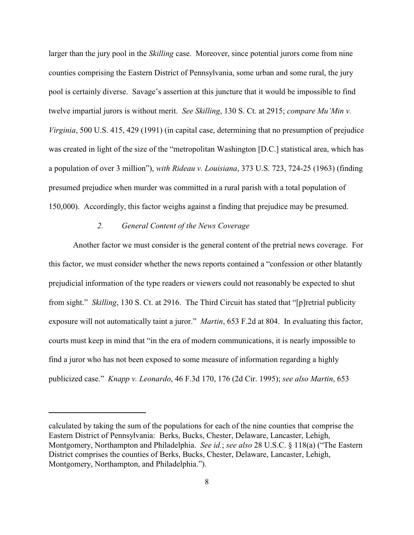larger than the jury pool in the *Skilling* case. Moreover, since potential jurors come from nine counties comprising the Eastern District of Pennsylvania, some urban and some rural, the jury pool is certainly diverse. Savage's assertion at this juncture that it would be impossible to find twelve impartial jurors is without merit. *See Skilling*, 130 S. Ct. at 2915; *compare Mu'Min v. Virginia*, 500 U.S. 415, 429 (1991) (in capital case, determining that no presumption of prejudice was created in light of the size of the "metropolitan Washington [D.C.] statistical area, which has a population of over 3 million"), *with Rideau v. Louisiana*, 373 U.S. 723, 724-25 (1963) (finding presumed prejudice when murder was committed in a rural parish with a total population of 150,000). Accordingly, this factor weighs against a finding that prejudice may be presumed.

## *2. General Content of the News Coverage*

Another factor we must consider is the general content of the pretrial news coverage. For this factor, we must consider whether the news reports contained a "confession or other blatantly prejudicial information of the type readers or viewers could not reasonably be expected to shut from sight." *Skilling*, 130 S. Ct. at 2916. The Third Circuit has stated that "[p]retrial publicity exposure will not automatically taint a juror." *Martin*, 653 F.2d at 804. In evaluating this factor, courts must keep in mind that "in the era of modern communications, it is nearly impossible to find a juror who has not been exposed to some measure of information regarding a highly publicized case." *Knapp v. Leonardo*, 46 F.3d 170, 176 (2d Cir. 1995); *see also Martin*, 653

calculated by taking the sum of the populations for each of the nine counties that comprise the Eastern District of Pennsylvania: Berks, Bucks, Chester, Delaware, Lancaster, Lehigh, Montgomery, Northampton and Philadelphia. *See id.*; *see also* 28 U.S.C. § 118(a) ("The Eastern District comprises the counties of Berks, Bucks, Chester, Delaware, Lancaster, Lehigh, Montgomery, Northampton, and Philadelphia.").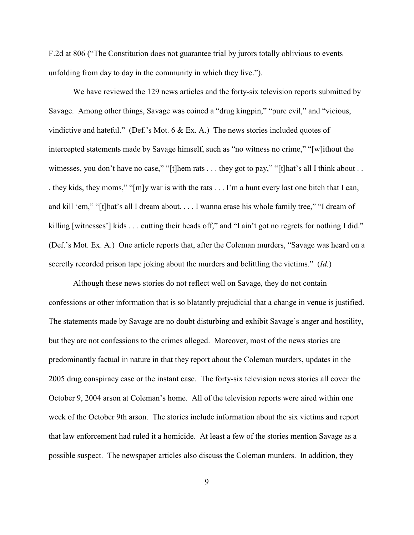F.2d at 806 ("The Constitution does not guarantee trial by jurors totally oblivious to events unfolding from day to day in the community in which they live.").

We have reviewed the 129 news articles and the forty-six television reports submitted by Savage. Among other things, Savage was coined a "drug kingpin," "pure evil," and "vicious, vindictive and hateful." (Def.'s Mot. 6 & Ex. A.) The news stories included quotes of intercepted statements made by Savage himself, such as "no witness no crime," "[w]ithout the witnesses, you don't have no case," "[t]hem rats . . . they got to pay," "[t]hat's all I think about . . . they kids, they moms," "[m]y war is with the rats . . . I'm a hunt every last one bitch that I can, and kill 'em," "[t]hat's all I dream about. . . . I wanna erase his whole family tree," "I dream of killing [witnesses'] kids . . . cutting their heads off," and "I ain't got no regrets for nothing I did." (Def.'s Mot. Ex. A.) One article reports that, after the Coleman murders, "Savage was heard on a secretly recorded prison tape joking about the murders and belittling the victims." (*Id.*)

Although these news stories do not reflect well on Savage, they do not contain confessions or other information that is so blatantly prejudicial that a change in venue is justified. The statements made by Savage are no doubt disturbing and exhibit Savage's anger and hostility, but they are not confessions to the crimes alleged. Moreover, most of the news stories are predominantly factual in nature in that they report about the Coleman murders, updates in the 2005 drug conspiracy case or the instant case. The forty-six television news stories all cover the October 9, 2004 arson at Coleman's home. All of the television reports were aired within one week of the October 9th arson. The stories include information about the six victims and report that law enforcement had ruled it a homicide. At least a few of the stories mention Savage as a possible suspect. The newspaper articles also discuss the Coleman murders. In addition, they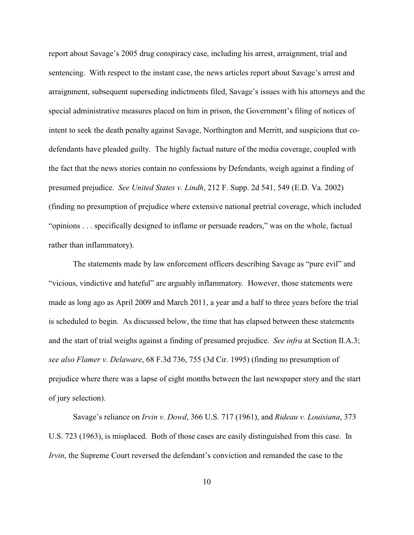report about Savage's 2005 drug conspiracy case, including his arrest, arraignment, trial and sentencing. With respect to the instant case, the news articles report about Savage's arrest and arraignment, subsequent superseding indictments filed, Savage's issues with his attorneys and the special administrative measures placed on him in prison, the Government's filing of notices of intent to seek the death penalty against Savage, Northington and Merritt, and suspicions that codefendants have pleaded guilty. The highly factual nature of the media coverage, coupled with the fact that the news stories contain no confessions by Defendants, weigh against a finding of presumed prejudice. *See United States v. Lindh*, 212 F. Supp. 2d 541, 549 (E.D. Va. 2002) (finding no presumption of prejudice where extensive national pretrial coverage, which included "opinions . . . specifically designed to inflame or persuade readers," was on the whole, factual rather than inflammatory).

The statements made by law enforcement officers describing Savage as "pure evil" and "vicious, vindictive and hateful" are arguably inflammatory. However, those statements were made as long ago as April 2009 and March 2011, a year and a half to three years before the trial is scheduled to begin. As discussed below, the time that has elapsed between these statements and the start of trial weighs against a finding of presumed prejudice. *See infra* at Section II.A.3; *see also Flamer v. Delaware*, 68 F.3d 736, 755 (3d Cir. 1995) (finding no presumption of prejudice where there was a lapse of eight months between the last newspaper story and the start of jury selection).

Savage's reliance on *Irvin v. Dowd*, 366 U.S. 717 (1961), and *Rideau v. Louisiana*, 373 U.S. 723 (1963), is misplaced. Both of those cases are easily distinguished from this case. In *Irvin*, the Supreme Court reversed the defendant's conviction and remanded the case to the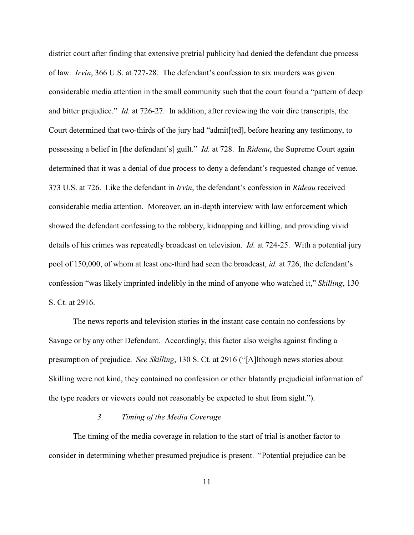district court after finding that extensive pretrial publicity had denied the defendant due process of law. *Irvin*, 366 U.S. at 727-28. The defendant's confession to six murders was given considerable media attention in the small community such that the court found a "pattern of deep and bitter prejudice." *Id.* at 726-27. In addition, after reviewing the voir dire transcripts, the Court determined that two-thirds of the jury had "admit[ted], before hearing any testimony, to possessing a belief in [the defendant's] guilt." *Id.* at 728. In *Rideau*, the Supreme Court again determined that it was a denial of due process to deny a defendant's requested change of venue. 373 U.S. at 726. Like the defendant in *Irvin*, the defendant's confession in *Rideau* received considerable media attention. Moreover, an in-depth interview with law enforcement which showed the defendant confessing to the robbery, kidnapping and killing, and providing vivid details of his crimes was repeatedly broadcast on television. *Id.* at 724-25. With a potential jury pool of 150,000, of whom at least one-third had seen the broadcast, *id.* at 726, the defendant's confession "was likely imprinted indelibly in the mind of anyone who watched it," *Skilling*, 130 S. Ct. at 2916.

The news reports and television stories in the instant case contain no confessions by Savage or by any other Defendant. Accordingly, this factor also weighs against finding a presumption of prejudice. *See Skilling*, 130 S. Ct. at 2916 ("[A]lthough news stories about Skilling were not kind, they contained no confession or other blatantly prejudicial information of the type readers or viewers could not reasonably be expected to shut from sight.").

# *3. Timing of the Media Coverage*

The timing of the media coverage in relation to the start of trial is another factor to consider in determining whether presumed prejudice is present. "Potential prejudice can be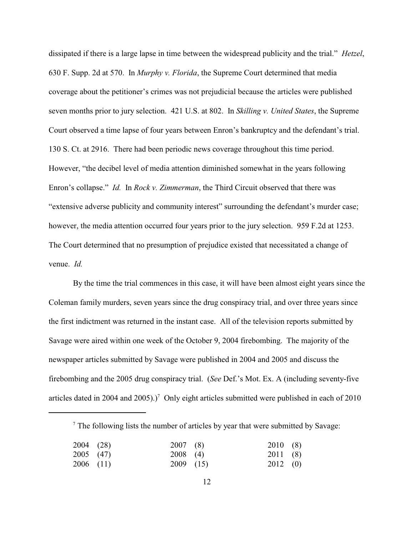dissipated if there is a large lapse in time between the widespread publicity and the trial." *Hetzel*, 630 F. Supp. 2d at 570. In *Murphy v. Florida*, the Supreme Court determined that media coverage about the petitioner's crimes was not prejudicial because the articles were published seven months prior to jury selection. 421 U.S. at 802. In *Skilling v. United States*, the Supreme Court observed a time lapse of four years between Enron's bankruptcy and the defendant's trial. 130 S. Ct. at 2916. There had been periodic news coverage throughout this time period. However, "the decibel level of media attention diminished somewhat in the years following Enron's collapse." *Id.* In *Rock v. Zimmerman*, the Third Circuit observed that there was "extensive adverse publicity and community interest" surrounding the defendant's murder case; however, the media attention occurred four years prior to the jury selection. 959 F.2d at 1253. The Court determined that no presumption of prejudice existed that necessitated a change of venue. *Id.*

By the time the trial commences in this case, it will have been almost eight years since the Coleman family murders, seven years since the drug conspiracy trial, and over three years since the first indictment was returned in the instant case. All of the television reports submitted by Savage were aired within one week of the October 9, 2004 firebombing. The majority of the newspaper articles submitted by Savage were published in 2004 and 2005 and discuss the firebombing and the 2005 drug conspiracy trial. (*See* Def.'s Mot. Ex. A (including seventy-five articles dated in 2004 and 2005).)<sup>7</sup> Only eight articles submitted were published in each of 2010

|  |  | <sup>7</sup> The following lists the number of articles by year that were submitted by Savage: |
|--|--|------------------------------------------------------------------------------------------------|
|  |  |                                                                                                |

| $2004$ (28) | $2007$ (8)  | 2010(8)          |  |
|-------------|-------------|------------------|--|
| $2005$ (47) | $2008$ (4)  | 2011(8)          |  |
| $2006$ (11) | $2009$ (15) | $2012 \quad (0)$ |  |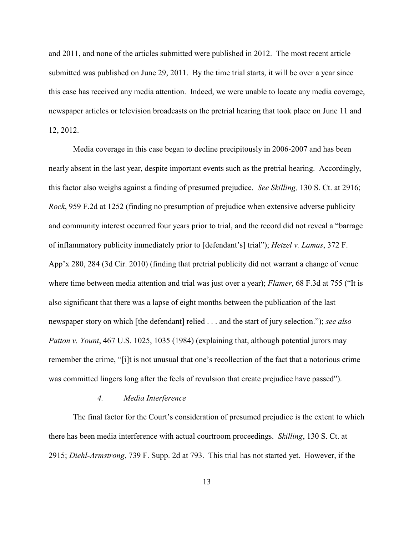and 2011, and none of the articles submitted were published in 2012. The most recent article submitted was published on June 29, 2011. By the time trial starts, it will be over a year since this case has received any media attention. Indeed, we were unable to locate any media coverage, newspaper articles or television broadcasts on the pretrial hearing that took place on June 11 and 12, 2012.

Media coverage in this case began to decline precipitously in 2006-2007 and has been nearly absent in the last year, despite important events such as the pretrial hearing. Accordingly, this factor also weighs against a finding of presumed prejudice. *See Skilling,* 130 S. Ct. at 2916; *Rock*, 959 F.2d at 1252 (finding no presumption of prejudice when extensive adverse publicity and community interest occurred four years prior to trial, and the record did not reveal a "barrage of inflammatory publicity immediately prior to [defendant's] trial"); *Hetzel v. Lamas*, 372 F. App'x 280, 284 (3d Cir. 2010) (finding that pretrial publicity did not warrant a change of venue where time between media attention and trial was just over a year); *Flamer*, 68 F.3d at 755 ("It is also significant that there was a lapse of eight months between the publication of the last newspaper story on which [the defendant] relied . . . and the start of jury selection."); *see also Patton v. Yount*, 467 U.S. 1025, 1035 (1984) (explaining that, although potential jurors may remember the crime, "[i]t is not unusual that one's recollection of the fact that a notorious crime was committed lingers long after the feels of revulsion that create prejudice have passed").

#### *4. Media Interference*

The final factor for the Court's consideration of presumed prejudice is the extent to which there has been media interference with actual courtroom proceedings. *Skilling*, 130 S. Ct. at 2915; *Diehl-Armstrong*, 739 F. Supp. 2d at 793. This trial has not started yet. However, if the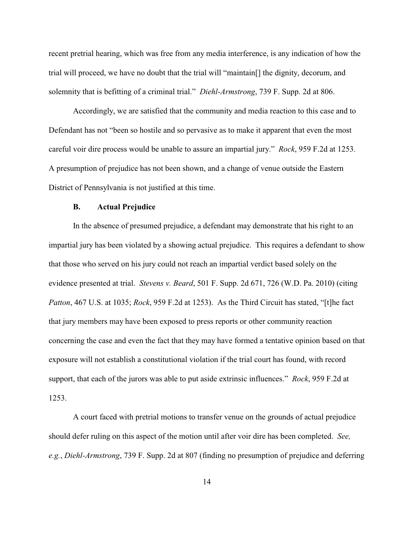recent pretrial hearing, which was free from any media interference, is any indication of how the trial will proceed, we have no doubt that the trial will "maintain[] the dignity, decorum, and solemnity that is befitting of a criminal trial." *Diehl-Armstrong*, 739 F. Supp. 2d at 806.

Accordingly, we are satisfied that the community and media reaction to this case and to Defendant has not "been so hostile and so pervasive as to make it apparent that even the most careful voir dire process would be unable to assure an impartial jury." *Rock*, 959 F.2d at 1253. A presumption of prejudice has not been shown, and a change of venue outside the Eastern District of Pennsylvania is not justified at this time.

#### **B. Actual Prejudice**

In the absence of presumed prejudice, a defendant may demonstrate that his right to an impartial jury has been violated by a showing actual prejudice. This requires a defendant to show that those who served on his jury could not reach an impartial verdict based solely on the evidence presented at trial. *Stevens v. Beard*, 501 F. Supp. 2d 671, 726 (W.D. Pa. 2010) (citing *Patton*, 467 U.S. at 1035; *Rock*, 959 F.2d at 1253). As the Third Circuit has stated, "[t]he fact that jury members may have been exposed to press reports or other community reaction concerning the case and even the fact that they may have formed a tentative opinion based on that exposure will not establish a constitutional violation if the trial court has found, with record support, that each of the jurors was able to put aside extrinsic influences." *Rock*, 959 F.2d at 1253.

A court faced with pretrial motions to transfer venue on the grounds of actual prejudice should defer ruling on this aspect of the motion until after voir dire has been completed. *See, e.g.*, *Diehl-Armstrong*, 739 F. Supp. 2d at 807 (finding no presumption of prejudice and deferring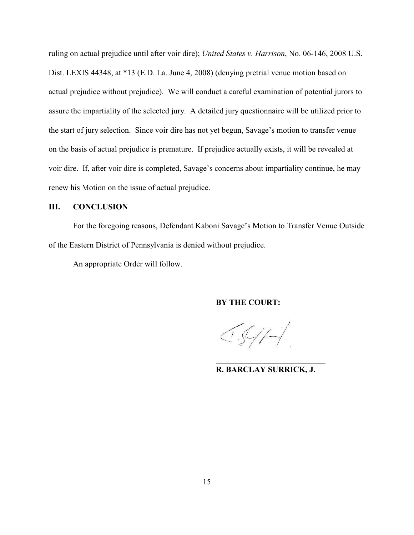ruling on actual prejudice until after voir dire); *United States v. Harrison*, No. 06-146, 2008 U.S. Dist. LEXIS 44348, at \*13 (E.D. La. June 4, 2008) (denying pretrial venue motion based on actual prejudice without prejudice). We will conduct a careful examination of potential jurors to assure the impartiality of the selected jury. A detailed jury questionnaire will be utilized prior to the start of jury selection. Since voir dire has not yet begun, Savage's motion to transfer venue on the basis of actual prejudice is premature. If prejudice actually exists, it will be revealed at voir dire. If, after voir dire is completed, Savage's concerns about impartiality continue, he may renew his Motion on the issue of actual prejudice.

## **III. CONCLUSION**

For the foregoing reasons, Defendant Kaboni Savage's Motion to Transfer Venue Outside of the Eastern District of Pennsylvania is denied without prejudice.

An appropriate Order will follow.

**BY THE COURT:**

 $CS/H$ 

**\_\_\_\_\_\_\_\_\_\_\_\_\_\_\_\_\_\_\_\_\_\_\_\_\_\_\_ R. BARCLAY SURRICK, J.**